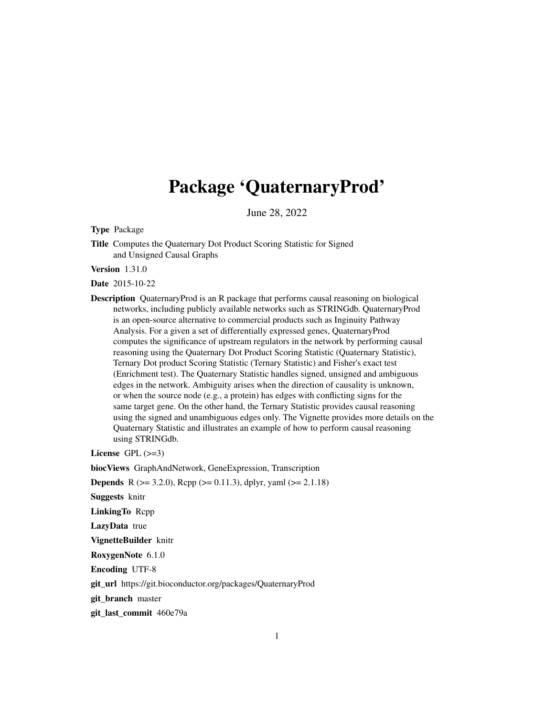# Package 'QuaternaryProd'

June 28, 2022

Type Package

Title Computes the Quaternary Dot Product Scoring Statistic for Signed and Unsigned Causal Graphs

Version 1.31.0

Date 2015-10-22

Description QuaternaryProd is an R package that performs causal reasoning on biological networks, including publicly available networks such as STRINGdb. QuaternaryProd is an open-source alternative to commercial products such as Inginuity Pathway Analysis. For a given a set of differentially expressed genes, QuaternaryProd computes the significance of upstream regulators in the network by performing causal reasoning using the Quaternary Dot Product Scoring Statistic (Quaternary Statistic), Ternary Dot product Scoring Statistic (Ternary Statistic) and Fisher's exact test (Enrichment test). The Quaternary Statistic handles signed, unsigned and ambiguous edges in the network. Ambiguity arises when the direction of causality is unknown, or when the source node (e.g., a protein) has edges with conflicting signs for the same target gene. On the other hand, the Ternary Statistic provides causal reasoning using the signed and unambiguous edges only. The Vignette provides more details on the Quaternary Statistic and illustrates an example of how to perform causal reasoning using STRINGdb.

License GPL  $(>=3)$ 

biocViews GraphAndNetwork, GeneExpression, Transcription

**Depends** R ( $>= 3.2.0$ ), Rcpp ( $>= 0.11.3$ ), dplyr, yaml ( $>= 2.1.18$ )

Suggests knitr

LinkingTo Rcpp

LazyData true

VignetteBuilder knitr

RoxygenNote 6.1.0

Encoding UTF-8

git\_url https://git.bioconductor.org/packages/QuaternaryProd

git\_branch master

git\_last\_commit 460e79a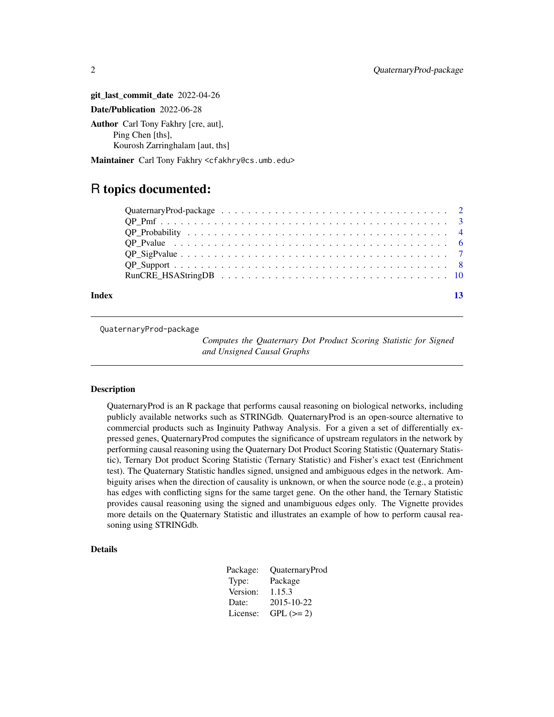git\_last\_commit\_date 2022-04-26 Date/Publication 2022-06-28 Author Carl Tony Fakhry [cre, aut], Ping Chen [ths], Kourosh Zarringhalam [aut, ths]

Maintainer Carl Tony Fakhry <cfakhry@cs.umb.edu>

# R topics documented:

| Index | 13 |  |
|-------|----|--|
|       |    |  |

QuaternaryProd-package

*Computes the Quaternary Dot Product Scoring Statistic for Signed and Unsigned Causal Graphs*

# Description

QuaternaryProd is an R package that performs causal reasoning on biological networks, including publicly available networks such as STRINGdb. QuaternaryProd is an open-source alternative to commercial products such as Inginuity Pathway Analysis. For a given a set of differentially expressed genes, QuaternaryProd computes the significance of upstream regulators in the network by performing causal reasoning using the Quaternary Dot Product Scoring Statistic (Quaternary Statistic), Ternary Dot product Scoring Statistic (Ternary Statistic) and Fisher's exact test (Enrichment test). The Quaternary Statistic handles signed, unsigned and ambiguous edges in the network. Ambiguity arises when the direction of causality is unknown, or when the source node (e.g., a protein) has edges with conflicting signs for the same target gene. On the other hand, the Ternary Statistic provides causal reasoning using the signed and unambiguous edges only. The Vignette provides more details on the Quaternary Statistic and illustrates an example of how to perform causal reasoning using STRINGdb.

# Details

| Package: | QuaternaryProd |
|----------|----------------|
| Type:    | Package        |
| Version: | 1.15.3         |
| Date:    | 2015-10-22     |
| License: | $GPL (= 2)$    |

<span id="page-1-0"></span>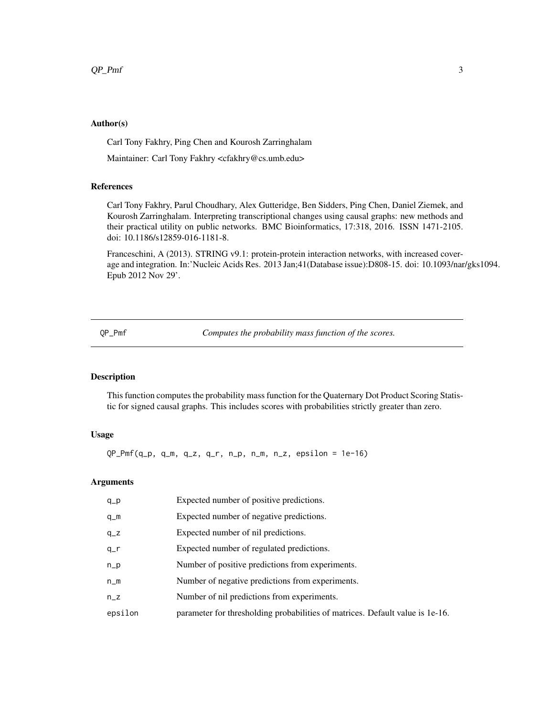# <span id="page-2-0"></span>Author(s)

Carl Tony Fakhry, Ping Chen and Kourosh Zarringhalam

Maintainer: Carl Tony Fakhry <cfakhry@cs.umb.edu>

# References

Carl Tony Fakhry, Parul Choudhary, Alex Gutteridge, Ben Sidders, Ping Chen, Daniel Ziemek, and Kourosh Zarringhalam. Interpreting transcriptional changes using causal graphs: new methods and their practical utility on public networks. BMC Bioinformatics, 17:318, 2016. ISSN 1471-2105. doi: 10.1186/s12859-016-1181-8.

Franceschini, A (2013). STRING v9.1: protein-protein interaction networks, with increased coverage and integration. In:'Nucleic Acids Res. 2013 Jan;41(Database issue):D808-15. doi: 10.1093/nar/gks1094. Epub 2012 Nov 29'.

<span id="page-2-1"></span>QP\_Pmf *Computes the probability mass function of the scores.*

# Description

This function computes the probability mass function for the Quaternary Dot Product Scoring Statistic for signed causal graphs. This includes scores with probabilities strictly greater than zero.

# Usage

 $QP_Pmf(q_p, q_m, q_z, q_r, n_p, n_m, n_z, epsilon = 1e-16)$ 

# Arguments

| $q_p$       | Expected number of positive predictions.                                      |
|-------------|-------------------------------------------------------------------------------|
| $q_m$       | Expected number of negative predictions.                                      |
| $q_z$       | Expected number of nil predictions.                                           |
| $q_r$       | Expected number of regulated predictions.                                     |
| $n_p$       | Number of positive predictions from experiments.                              |
| $n_{\rm m}$ | Number of negative predictions from experiments.                              |
| n z         | Number of nil predictions from experiments.                                   |
| epsilon     | parameter for thresholding probabilities of matrices. Default value is 1e-16. |
|             |                                                                               |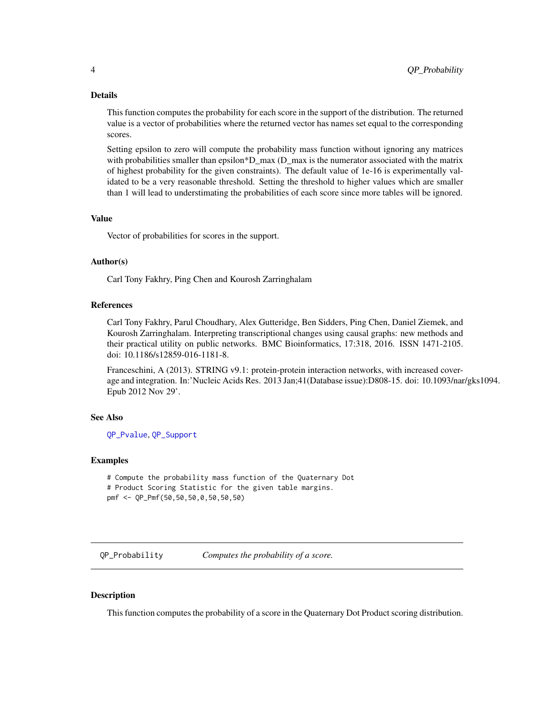#### <span id="page-3-0"></span>Details

This function computes the probability for each score in the support of the distribution. The returned value is a vector of probabilities where the returned vector has names set equal to the corresponding scores.

Setting epsilon to zero will compute the probability mass function without ignoring any matrices with probabilities smaller than epsilon\*D\_max (D\_max is the numerator associated with the matrix of highest probability for the given constraints). The default value of 1e-16 is experimentally validated to be a very reasonable threshold. Setting the threshold to higher values which are smaller than 1 will lead to understimating the probabilities of each score since more tables will be ignored.

# Value

Vector of probabilities for scores in the support.

#### Author(s)

Carl Tony Fakhry, Ping Chen and Kourosh Zarringhalam

# References

Carl Tony Fakhry, Parul Choudhary, Alex Gutteridge, Ben Sidders, Ping Chen, Daniel Ziemek, and Kourosh Zarringhalam. Interpreting transcriptional changes using causal graphs: new methods and their practical utility on public networks. BMC Bioinformatics, 17:318, 2016. ISSN 1471-2105. doi: 10.1186/s12859-016-1181-8.

Franceschini, A (2013). STRING v9.1: protein-protein interaction networks, with increased coverage and integration. In:'Nucleic Acids Res. 2013 Jan;41(Database issue):D808-15. doi: 10.1093/nar/gks1094. Epub 2012 Nov 29'.

# See Also

[QP\\_Pvalue](#page-5-1), [QP\\_Support](#page-7-1)

#### Examples

```
# Compute the probability mass function of the Quaternary Dot
# Product Scoring Statistic for the given table margins.
pmf <- QP_Pmf(50,50,50,0,50,50,50)
```
QP\_Probability *Computes the probability of a score.*

# Description

This function computes the probability of a score in the Quaternary Dot Product scoring distribution.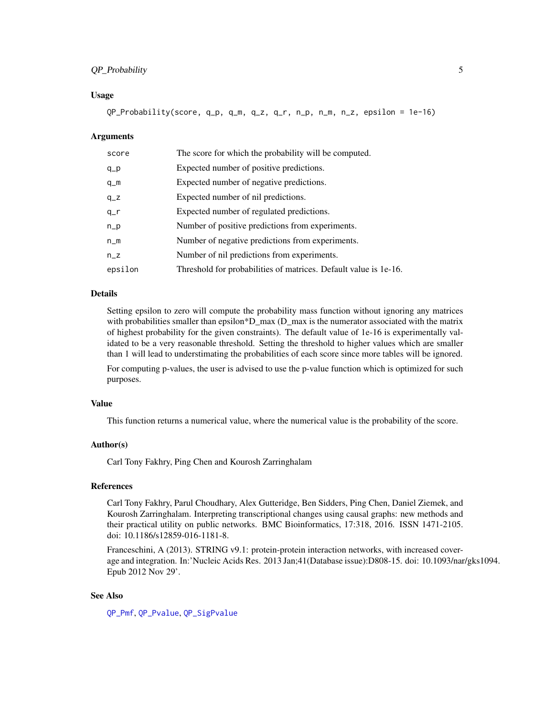# <span id="page-4-0"></span>QP\_Probability 5

# Usage

QP\_Probability(score, q\_p, q\_m, q\_z, q\_r, n\_p, n\_m, n\_z, epsilon = 1e-16)

# Arguments

| score   | The score for which the probability will be computed.            |
|---------|------------------------------------------------------------------|
| $q_p$   | Expected number of positive predictions.                         |
| $q_m$   | Expected number of negative predictions.                         |
| $q_z$   | Expected number of nil predictions.                              |
| $q_r$   | Expected number of regulated predictions.                        |
| $n_p$   | Number of positive predictions from experiments.                 |
| $n_m$   | Number of negative predictions from experiments.                 |
| $n_Z$   | Number of nil predictions from experiments.                      |
| epsilon | Threshold for probabilities of matrices. Default value is 1e-16. |

# Details

Setting epsilon to zero will compute the probability mass function without ignoring any matrices with probabilities smaller than epsilon\*D\_max (D\_max is the numerator associated with the matrix of highest probability for the given constraints). The default value of 1e-16 is experimentally validated to be a very reasonable threshold. Setting the threshold to higher values which are smaller than 1 will lead to understimating the probabilities of each score since more tables will be ignored.

For computing p-values, the user is advised to use the p-value function which is optimized for such purposes.

#### Value

This function returns a numerical value, where the numerical value is the probability of the score.

# Author(s)

Carl Tony Fakhry, Ping Chen and Kourosh Zarringhalam

# References

Carl Tony Fakhry, Parul Choudhary, Alex Gutteridge, Ben Sidders, Ping Chen, Daniel Ziemek, and Kourosh Zarringhalam. Interpreting transcriptional changes using causal graphs: new methods and their practical utility on public networks. BMC Bioinformatics, 17:318, 2016. ISSN 1471-2105. doi: 10.1186/s12859-016-1181-8.

Franceschini, A (2013). STRING v9.1: protein-protein interaction networks, with increased coverage and integration. In:'Nucleic Acids Res. 2013 Jan;41(Database issue):D808-15. doi: 10.1093/nar/gks1094. Epub 2012 Nov 29'.

# See Also

[QP\\_Pmf](#page-2-1), [QP\\_Pvalue](#page-5-1), [QP\\_SigPvalue](#page-6-1)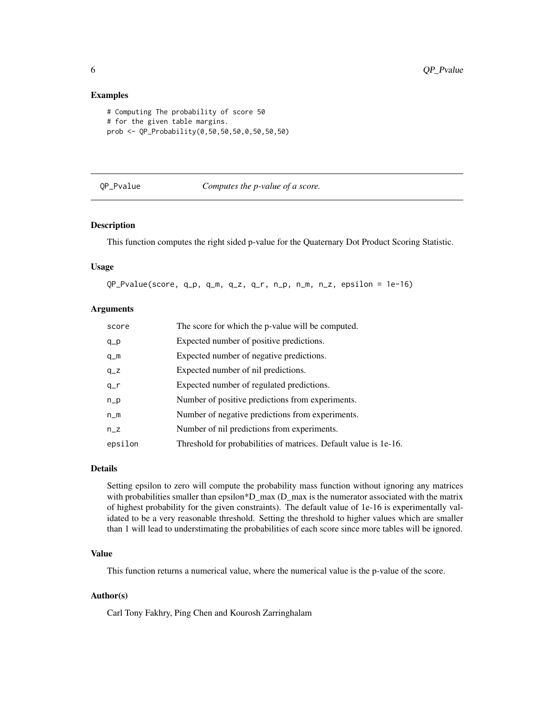# Examples

```
# Computing The probability of score 50
# for the given table margins.
prob <- QP_Probability(0,50,50,50,0,50,50,50)
```
### <span id="page-5-1"></span>QP\_Pvalue *Computes the p-value of a score.*

# Description

This function computes the right sided p-value for the Quaternary Dot Product Scoring Statistic.

# Usage

```
QP_Pvalue(score, q_p, q_m, q_z, q_r, n_p, n_m, n_z, epsilon = 1e-16)
```
# Arguments

| score   | The score for which the p-value will be computed.                |
|---------|------------------------------------------------------------------|
| $q_p$   | Expected number of positive predictions.                         |
| $q_m$   | Expected number of negative predictions.                         |
| $q_z$   | Expected number of nil predictions.                              |
| $q_r$   | Expected number of regulated predictions.                        |
| $n_p$   | Number of positive predictions from experiments.                 |
| $n_m$   | Number of negative predictions from experiments.                 |
| $n_Z$   | Number of nil predictions from experiments.                      |
| epsilon | Threshold for probabilities of matrices. Default value is 1e-16. |

# Details

Setting epsilon to zero will compute the probability mass function without ignoring any matrices with probabilities smaller than epsilon\*D\_max (D\_max is the numerator associated with the matrix of highest probability for the given constraints). The default value of 1e-16 is experimentally validated to be a very reasonable threshold. Setting the threshold to higher values which are smaller than 1 will lead to understimating the probabilities of each score since more tables will be ignored.

# Value

This function returns a numerical value, where the numerical value is the p-value of the score.

# Author(s)

Carl Tony Fakhry, Ping Chen and Kourosh Zarringhalam

<span id="page-5-0"></span>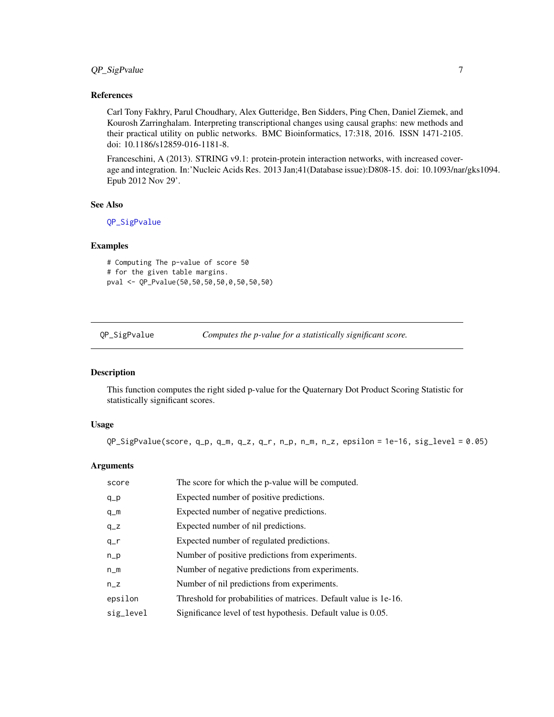# <span id="page-6-0"></span> $QP\_SigPvalue$  7

# References

Carl Tony Fakhry, Parul Choudhary, Alex Gutteridge, Ben Sidders, Ping Chen, Daniel Ziemek, and Kourosh Zarringhalam. Interpreting transcriptional changes using causal graphs: new methods and their practical utility on public networks. BMC Bioinformatics, 17:318, 2016. ISSN 1471-2105. doi: 10.1186/s12859-016-1181-8.

Franceschini, A (2013). STRING v9.1: protein-protein interaction networks, with increased coverage and integration. In:'Nucleic Acids Res. 2013 Jan;41(Database issue):D808-15. doi: 10.1093/nar/gks1094. Epub 2012 Nov 29'.

# See Also

[QP\\_SigPvalue](#page-6-1)

# Examples

# Computing The p-value of score 50 # for the given table margins. pval <- QP\_Pvalue(50,50,50,50,0,50,50,50)

<span id="page-6-1"></span>QP\_SigPvalue *Computes the p-value for a statistically significant score.*

# **Description**

This function computes the right sided p-value for the Quaternary Dot Product Scoring Statistic for statistically significant scores.

# Usage

 $QP\_SigValue$  (score, q\_p, q\_m, q\_z, q\_r, n\_p, n\_m, n\_z, epsilon = 1e-16, sig\_level = 0.05)

# Arguments

| score       | The score for which the p-value will be computed.                |
|-------------|------------------------------------------------------------------|
| $q_p$       | Expected number of positive predictions.                         |
| $q_m$       | Expected number of negative predictions.                         |
| $q_z$       | Expected number of nil predictions.                              |
| $q_r$       | Expected number of regulated predictions.                        |
| $n_p$       | Number of positive predictions from experiments.                 |
| $n_{\rm m}$ | Number of negative predictions from experiments.                 |
| $n_z$       | Number of nil predictions from experiments.                      |
| epsilon     | Threshold for probabilities of matrices. Default value is 1e-16. |
| sig_level   | Significance level of test hypothesis. Default value is 0.05.    |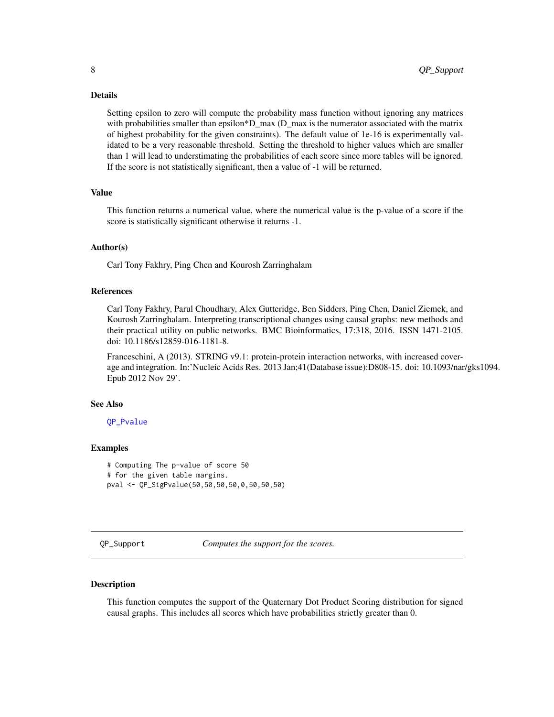# <span id="page-7-0"></span>Details

Setting epsilon to zero will compute the probability mass function without ignoring any matrices with probabilities smaller than epsilon\*D\_max (D\_max is the numerator associated with the matrix of highest probability for the given constraints). The default value of 1e-16 is experimentally validated to be a very reasonable threshold. Setting the threshold to higher values which are smaller than 1 will lead to understimating the probabilities of each score since more tables will be ignored. If the score is not statistically significant, then a value of -1 will be returned.

#### Value

This function returns a numerical value, where the numerical value is the p-value of a score if the score is statistically significant otherwise it returns -1.

# Author(s)

Carl Tony Fakhry, Ping Chen and Kourosh Zarringhalam

#### References

Carl Tony Fakhry, Parul Choudhary, Alex Gutteridge, Ben Sidders, Ping Chen, Daniel Ziemek, and Kourosh Zarringhalam. Interpreting transcriptional changes using causal graphs: new methods and their practical utility on public networks. BMC Bioinformatics, 17:318, 2016. ISSN 1471-2105. doi: 10.1186/s12859-016-1181-8.

Franceschini, A (2013). STRING v9.1: protein-protein interaction networks, with increased coverage and integration. In:'Nucleic Acids Res. 2013 Jan;41(Database issue):D808-15. doi: 10.1093/nar/gks1094. Epub 2012 Nov 29'.

# See Also

[QP\\_Pvalue](#page-5-1)

#### Examples

```
# Computing The p-value of score 50
# for the given table margins.
pval <- QP_SigPvalue(50,50,50,50,0,50,50,50)
```
<span id="page-7-1"></span>QP\_Support *Computes the support for the scores.*

# **Description**

This function computes the support of the Quaternary Dot Product Scoring distribution for signed causal graphs. This includes all scores which have probabilities strictly greater than 0.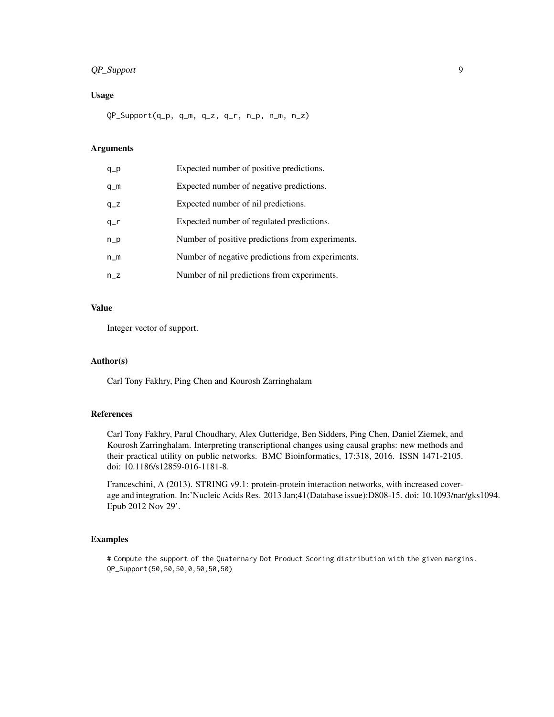# QP\_Support 9

# Usage

QP\_Support(q\_p, q\_m, q\_z, q\_r, n\_p, n\_m, n\_z)

# Arguments

| $q_p$   | Expected number of positive predictions.         |
|---------|--------------------------------------------------|
| $q_m$   | Expected number of negative predictions.         |
| $q_z$   | Expected number of nil predictions.              |
| $q_r$   | Expected number of regulated predictions.        |
| $n_p$   | Number of positive predictions from experiments. |
| $n_{m}$ | Number of negative predictions from experiments. |
| $n_z$   | Number of nil predictions from experiments.      |

# Value

Integer vector of support.

#### Author(s)

Carl Tony Fakhry, Ping Chen and Kourosh Zarringhalam

# References

Carl Tony Fakhry, Parul Choudhary, Alex Gutteridge, Ben Sidders, Ping Chen, Daniel Ziemek, and Kourosh Zarringhalam. Interpreting transcriptional changes using causal graphs: new methods and their practical utility on public networks. BMC Bioinformatics, 17:318, 2016. ISSN 1471-2105. doi: 10.1186/s12859-016-1181-8.

Franceschini, A (2013). STRING v9.1: protein-protein interaction networks, with increased coverage and integration. In:'Nucleic Acids Res. 2013 Jan;41(Database issue):D808-15. doi: 10.1093/nar/gks1094. Epub 2012 Nov 29'.

#### Examples

# Compute the support of the Quaternary Dot Product Scoring distribution with the given margins. QP\_Support(50,50,50,0,50,50,50)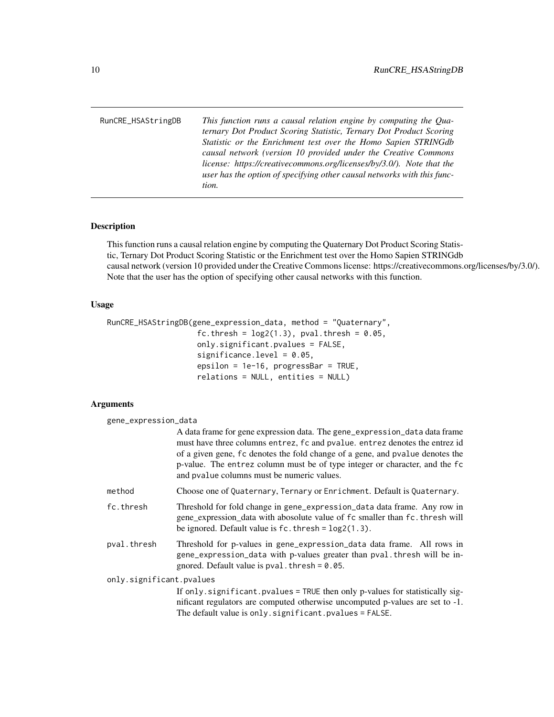<span id="page-9-0"></span>RunCRE\_HSAStringDB *This function runs a causal relation engine by computing the Quaternary Dot Product Scoring Statistic, Ternary Dot Product Scoring Statistic or the Enrichment test over the Homo Sapien STRINGdb causal network (version 10 provided under the Creative Commons license: https://creativecommons.org/licenses/by/3.0/). Note that the user has the option of specifying other causal networks with this function.*

# Description

This function runs a causal relation engine by computing the Quaternary Dot Product Scoring Statistic, Ternary Dot Product Scoring Statistic or the Enrichment test over the Homo Sapien STRINGdb causal network (version 10 provided under the Creative Commons license: https://creativecommons.org/licenses/by/3.0/). Note that the user has the option of specifying other causal networks with this function.

### Usage

```
RunCRE_HSAStringDB(gene_expression_data, method = "Quaternary",
                    fc.thresh = log2(1.3), pval.thresh = 0.05,
                    only.significant.pvalues = FALSE,
                    significance.level = 0.05,
                    epsilon = 1e-16, progressBar = TRUE,
                    relations = NULL, entities = NULL)
```
# Arguments

| gene_expression_data |  |  |  |  |
|----------------------|--|--|--|--|
|----------------------|--|--|--|--|

|                          | A data frame for gene expression data. The gene_expression_data data frame<br>must have three columns entrez, fc and pvalue. entrez denotes the entrez id<br>of a given gene, fc denotes the fold change of a gene, and pvalue denotes the<br>p-value. The entrez column must be of type integer or character, and the fc<br>and pvalue columns must be numeric values. |  |
|--------------------------|-------------------------------------------------------------------------------------------------------------------------------------------------------------------------------------------------------------------------------------------------------------------------------------------------------------------------------------------------------------------------|--|
| method                   | Choose one of Quaternary, Ternary or Enrichment. Default is Quaternary.                                                                                                                                                                                                                                                                                                 |  |
| fc.thresh                | Threshold for fold change in gene_expression_data data frame. Any row in<br>gene_expression_data with abosolute value of fc smaller than fc. thresh will<br>be ignored. Default value is $fc$ . thresh = $log2(1.3)$ .                                                                                                                                                  |  |
| pval.thresh              | Threshold for p-values in gene_expression_data data frame. All rows in<br>gene_expression_data with p-values greater than pval. thresh will be in-<br>gnored. Default value is $pval.$ thresh = 0.05.                                                                                                                                                                   |  |
| only.significant.pvalues |                                                                                                                                                                                                                                                                                                                                                                         |  |
|                          | If only significant pvalues = TRUE then only p-values for statistically sig-<br>nificant regulators are computed otherwise uncomputed p-values are set to -1.<br>The default value is only. significant. pvalues = FALSE.                                                                                                                                               |  |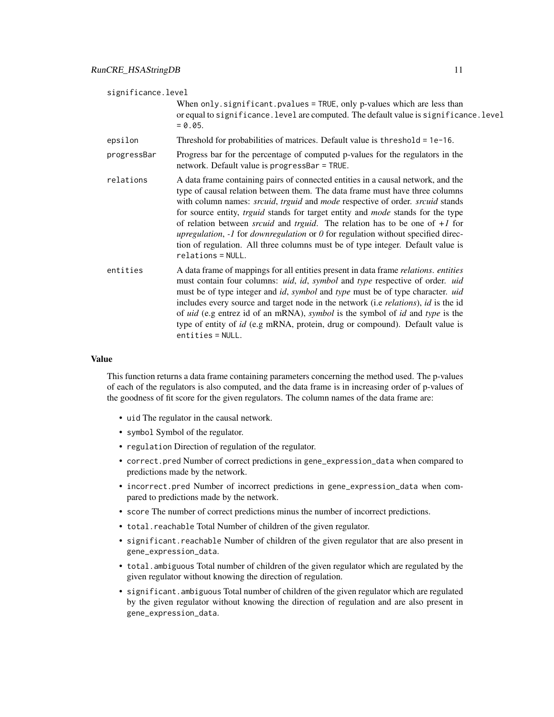| significance.level |                                                                                                                                                                                                                                                                                                                                                                                                                                                                                                                                                                                                                                                             |
|--------------------|-------------------------------------------------------------------------------------------------------------------------------------------------------------------------------------------------------------------------------------------------------------------------------------------------------------------------------------------------------------------------------------------------------------------------------------------------------------------------------------------------------------------------------------------------------------------------------------------------------------------------------------------------------------|
|                    | When only.significant.pvalues = TRUE, only p-values which are less than<br>or equal to significance. level are computed. The default value is significance. level<br>$= 0.05.$                                                                                                                                                                                                                                                                                                                                                                                                                                                                              |
| epsilon            | Threshold for probabilities of matrices. Default value is threshold $= 1e-16$ .                                                                                                                                                                                                                                                                                                                                                                                                                                                                                                                                                                             |
| progressBar        | Progress bar for the percentage of computed p-values for the regulators in the<br>network. Default value is progressBar = TRUE.                                                                                                                                                                                                                                                                                                                                                                                                                                                                                                                             |
| relations          | A data frame containing pairs of connected entities in a causal network, and the<br>type of causal relation between them. The data frame must have three columns<br>with column names: srcuid, trguid and mode respective of order. srcuid stands<br>for source entity, <i>trguid</i> stands for target entity and <i>mode</i> stands for the type<br>of relation between <i>srcuid</i> and <i>trguid</i> . The relation has to be one of $+1$ for<br>upregulation, $-1$ for <i>downregulation</i> or $0$ for regulation without specified direc-<br>tion of regulation. All three columns must be of type integer. Default value is<br>$relations = NULL.$ |
| entities           | A data frame of mappings for all entities present in data frame relations. entities<br>must contain four columns: uid, id, symbol and type respective of order. uid<br>must be of type integer and id, symbol and type must be of type character. uid<br>includes every source and target node in the network (i.e relations), id is the id<br>of <i>uid</i> (e.g entrez id of an mRNA), <i>symbol</i> is the symbol of <i>id</i> and <i>type</i> is the<br>type of entity of id (e.g mRNA, protein, drug or compound). Default value is<br>$entities = NULL.$                                                                                              |

# Value

This function returns a data frame containing parameters concerning the method used. The p-values of each of the regulators is also computed, and the data frame is in increasing order of p-values of the goodness of fit score for the given regulators. The column names of the data frame are:

- uid The regulator in the causal network.
- symbol Symbol of the regulator.
- regulation Direction of regulation of the regulator.
- correct.pred Number of correct predictions in gene\_expression\_data when compared to predictions made by the network.
- incorrect.pred Number of incorrect predictions in gene\_expression\_data when compared to predictions made by the network.
- score The number of correct predictions minus the number of incorrect predictions.
- total.reachable Total Number of children of the given regulator.
- significant.reachable Number of children of the given regulator that are also present in gene\_expression\_data.
- total.ambiguous Total number of children of the given regulator which are regulated by the given regulator without knowing the direction of regulation.
- significant.ambiguous Total number of children of the given regulator which are regulated by the given regulator without knowing the direction of regulation and are also present in gene\_expression\_data.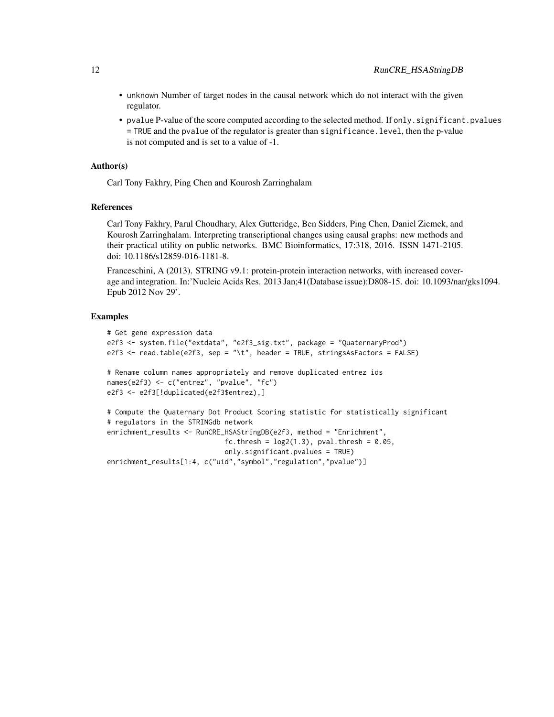- unknown Number of target nodes in the causal network which do not interact with the given regulator.
- pvalue P-value of the score computed according to the selected method. If only.significant.pvalues = TRUE and the pvalue of the regulator is greater than significance.level, then the p-value is not computed and is set to a value of -1.

# Author(s)

Carl Tony Fakhry, Ping Chen and Kourosh Zarringhalam

# References

Carl Tony Fakhry, Parul Choudhary, Alex Gutteridge, Ben Sidders, Ping Chen, Daniel Ziemek, and Kourosh Zarringhalam. Interpreting transcriptional changes using causal graphs: new methods and their practical utility on public networks. BMC Bioinformatics, 17:318, 2016. ISSN 1471-2105. doi: 10.1186/s12859-016-1181-8.

Franceschini, A (2013). STRING v9.1: protein-protein interaction networks, with increased coverage and integration. In:'Nucleic Acids Res. 2013 Jan;41(Database issue):D808-15. doi: 10.1093/nar/gks1094. Epub 2012 Nov 29'.

# Examples

```
# Get gene expression data
e2f3 <- system.file("extdata", "e2f3_sig.txt", package = "QuaternaryProd")
e2f3 <- read.table(e2f3, sep = "\t", header = TRUE, stringsAsFactors = FALSE)
# Rename column names appropriately and remove duplicated entrez ids
names(e2f3) <- c("entrez", "pvalue", "fc")
e2f3 <- e2f3[!duplicated(e2f3$entrez),]
# Compute the Quaternary Dot Product Scoring statistic for statistically significant
# regulators in the STRINGdb network
enrichment_results <- RunCRE_HSAStringDB(e2f3, method = "Enrichment",
                             fc.thresh = log2(1.3), pval.thresh = 0.05,
                             only.significant.pvalues = TRUE)
enrichment_results[1:4, c("uid","symbol","regulation","pvalue")]
```